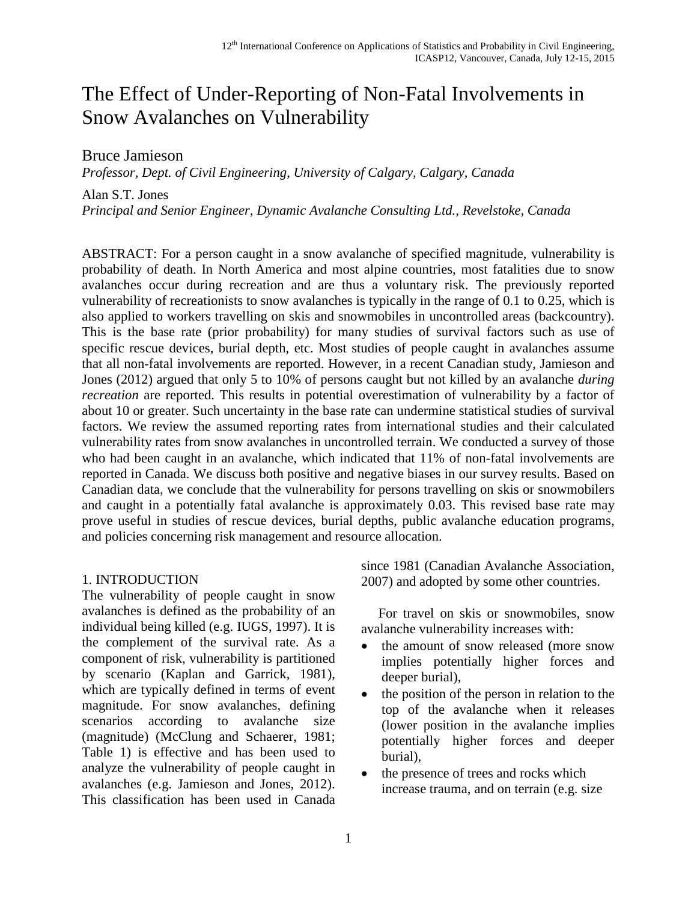# The Effect of Under-Reporting of Non-Fatal Involvements in Snow Avalanches on Vulnerability

Bruce Jamieson

*Professor, Dept. of Civil Engineering, University of Calgary, Calgary, Canada*

Alan S.T. Jones

*Principal and Senior Engineer, Dynamic Avalanche Consulting Ltd., Revelstoke, Canada*

ABSTRACT: For a person caught in a snow avalanche of specified magnitude, vulnerability is probability of death. In North America and most alpine countries, most fatalities due to snow avalanches occur during recreation and are thus a voluntary risk. The previously reported vulnerability of recreationists to snow avalanches is typically in the range of 0.1 to 0.25, which is also applied to workers travelling on skis and snowmobiles in uncontrolled areas (backcountry). This is the base rate (prior probability) for many studies of survival factors such as use of specific rescue devices, burial depth, etc. Most studies of people caught in avalanches assume that all non-fatal involvements are reported. However, in a recent Canadian study, Jamieson and Jones (2012) argued that only 5 to 10% of persons caught but not killed by an avalanche *during recreation* are reported. This results in potential overestimation of vulnerability by a factor of about 10 or greater. Such uncertainty in the base rate can undermine statistical studies of survival factors. We review the assumed reporting rates from international studies and their calculated vulnerability rates from snow avalanches in uncontrolled terrain. We conducted a survey of those who had been caught in an avalanche, which indicated that 11% of non-fatal involvements are reported in Canada. We discuss both positive and negative biases in our survey results. Based on Canadian data, we conclude that the vulnerability for persons travelling on skis or snowmobilers and caught in a potentially fatal avalanche is approximately 0.03. This revised base rate may prove useful in studies of rescue devices, burial depths, public avalanche education programs, and policies concerning risk management and resource allocation.

#### 1. INTRODUCTION

The vulnerability of people caught in snow avalanches is defined as the probability of an individual being killed (e.g. IUGS, 1997). It is the complement of the survival rate. As a component of risk, vulnerability is partitioned by scenario (Kaplan and Garrick, 1981), which are typically defined in terms of event magnitude. For snow avalanches, defining scenarios according to avalanche size (magnitude) (McClung and Schaerer, 1981; Table 1) is effective and has been used to analyze the vulnerability of people caught in avalanches (e.g. Jamieson and Jones, 2012). This classification has been used in Canada since 1981 (Canadian Avalanche Association, 2007) and adopted by some other countries.

 For travel on skis or snowmobiles, snow avalanche vulnerability increases with:

- the amount of snow released (more snow implies potentially higher forces and deeper burial),
- the position of the person in relation to the top of the avalanche when it releases (lower position in the avalanche implies potentially higher forces and deeper burial),
- the presence of trees and rocks which increase trauma, and on terrain (e.g. size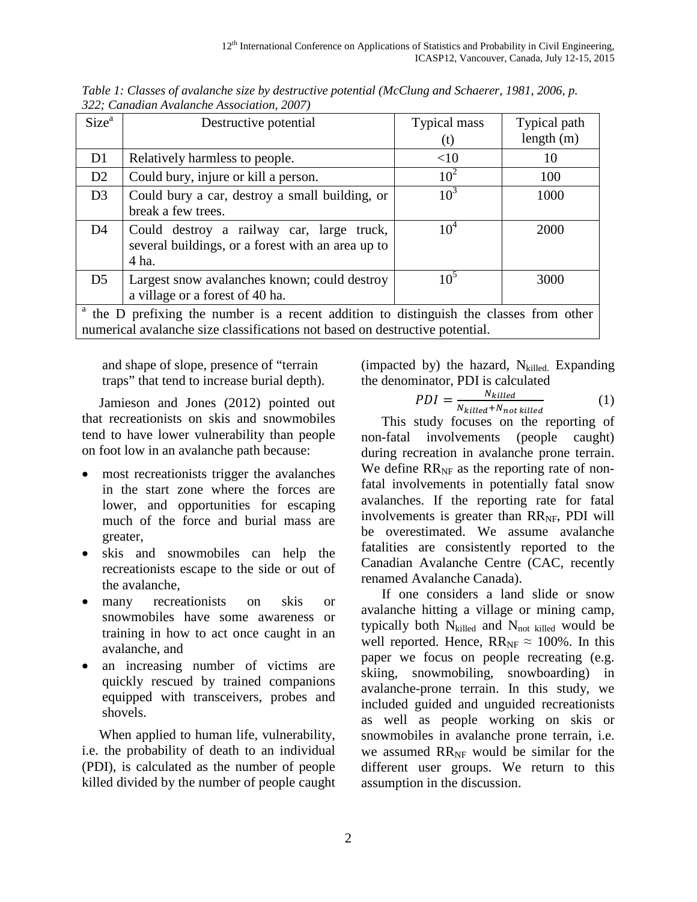| Size <sup>a</sup>                                                                                  | Destructive potential                                                                                   | Typical mass<br>(t) | Typical path<br>length $(m)$ |  |
|----------------------------------------------------------------------------------------------------|---------------------------------------------------------------------------------------------------------|---------------------|------------------------------|--|
| D <sub>1</sub>                                                                                     | Relatively harmless to people.                                                                          | <10                 | 10                           |  |
| D2                                                                                                 | Could bury, injure or kill a person.                                                                    | $10^{2}$            | 100                          |  |
| D <sub>3</sub>                                                                                     | Could bury a car, destroy a small building, or<br>break a few trees.                                    | 10 <sup>3</sup>     | 1000                         |  |
| D4                                                                                                 | Could destroy a railway car, large truck,<br>several buildings, or a forest with an area up to<br>4 ha. | $10^4$              | 2000                         |  |
| D <sub>5</sub>                                                                                     | Largest snow avalanches known; could destroy<br>a village or a forest of 40 ha.                         |                     | 3000                         |  |
| <sup>a</sup> the D prefixing the number is a recent addition to distinguish the classes from other |                                                                                                         |                     |                              |  |

*Table 1: Classes of avalanche size by destructive potential (McClung and Schaerer, 1981, 2006, p. 322; Canadian Avalanche Association, 2007)*

<sup>a</sup> the D prefixing the number is a recent addition to distinguish the classes from other numerical avalanche size classifications not based on destructive potential.

and shape of slope, presence of "terrain traps" that tend to increase burial depth).

 Jamieson and Jones (2012) pointed out that recreationists on skis and snowmobiles tend to have lower vulnerability than people on foot low in an avalanche path because:

- most recreationists trigger the avalanches in the start zone where the forces are lower, and opportunities for escaping much of the force and burial mass are greater,
- skis and snowmobiles can help the recreationists escape to the side or out of the avalanche,
- many recreationists on skis or snowmobiles have some awareness or training in how to act once caught in an avalanche, and
- an increasing number of victims are quickly rescued by trained companions equipped with transceivers, probes and shovels.

 When applied to human life, vulnerability, i.e. the probability of death to an individual (PDI), is calculated as the number of people killed divided by the number of people caught (impacted by) the hazard,  $N_{\text{killed}}$  Expanding the denominator, PDI is calculated

$$
PDI = \frac{N_{killed}}{N_{killed} + N_{not\,killed}} \tag{1}
$$

 This study focuses on the reporting of non-fatal involvements (people caught) during recreation in avalanche prone terrain. We define  $RR_{NF}$  as the reporting rate of nonfatal involvements in potentially fatal snow avalanches. If the reporting rate for fatal involvements is greater than  $RR_{NF}$ , PDI will be overestimated. We assume avalanche fatalities are consistently reported to the Canadian Avalanche Centre (CAC, recently renamed Avalanche Canada).

 If one considers a land slide or snow avalanche hitting a village or mining camp, typically both  $N_{\text{killed}}$  and  $N_{\text{not killed}}$  would be well reported. Hence,  $RR_{NF} \approx 100\%$ . In this paper we focus on people recreating (e.g. skiing, snowmobiling, snowboarding) in avalanche-prone terrain. In this study, we included guided and unguided recreationists as well as people working on skis or snowmobiles in avalanche prone terrain, i.e. we assumed RR<sub>NF</sub> would be similar for the different user groups. We return to this assumption in the discussion.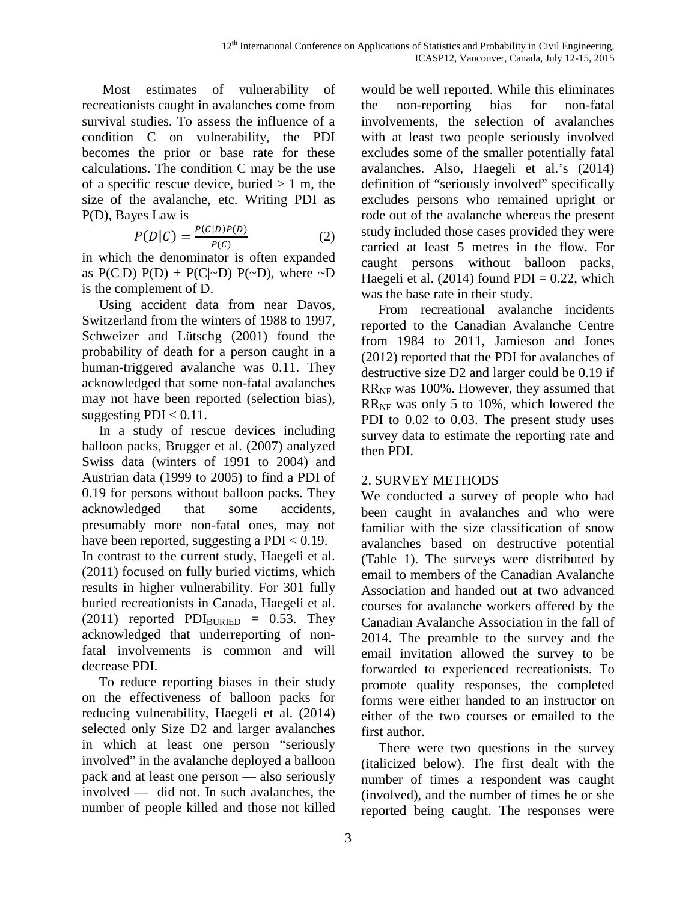Most estimates of vulnerability of recreationists caught in avalanches come from survival studies. To assess the influence of a condition C on vulnerability, the PDI becomes the prior or base rate for these calculations. The condition C may be the use of a specific rescue device, buried  $> 1$  m, the size of the avalanche, etc. Writing PDI as P(D), Bayes Law is

$$
P(D|C) = \frac{P(C|D)P(D)}{P(C)}
$$
 (2)

in which the denominator is often expanded as  $P(C|D) P(D) + P(C|\sim D) P(\sim D)$ , where  $\sim D$ is the complement of D.

 Using accident data from near Davos, Switzerland from the winters of 1988 to 1997, Schweizer and Lütschg (2001) found the probability of death for a person caught in a human-triggered avalanche was 0.11. They acknowledged that some non-fatal avalanches may not have been reported (selection bias), suggesting  $PDI < 0.11$ .

 In a study of rescue devices including balloon packs, Brugger et al. (2007) analyzed Swiss data (winters of 1991 to 2004) and Austrian data (1999 to 2005) to find a PDI of 0.19 for persons without balloon packs. They acknowledged that some accidents, presumably more non-fatal ones, may not have been reported, suggesting a PDI < 0.19. In contrast to the current study, Haegeli et al. (2011) focused on fully buried victims, which results in higher vulnerability. For 301 fully buried recreationists in Canada, Haegeli et al.  $(2011)$  reported PDI $_{\text{BURIED}}$  = 0.53. They acknowledged that underreporting of nonfatal involvements is common and will decrease PDI.

 To reduce reporting biases in their study on the effectiveness of balloon packs for reducing vulnerability, Haegeli et al. (2014) selected only Size D2 and larger avalanches in which at least one person "seriously involved" in the avalanche deployed a balloon pack and at least one person — also seriously involved — did not. In such avalanches, the number of people killed and those not killed

would be well reported. While this eliminates the non-reporting bias for non-fatal involvements, the selection of avalanches with at least two people seriously involved excludes some of the smaller potentially fatal avalanches. Also, Haegeli et al.'s (2014) definition of "seriously involved" specifically excludes persons who remained upright or rode out of the avalanche whereas the present study included those cases provided they were carried at least 5 metres in the flow. For caught persons without balloon packs, Haegeli et al.  $(2014)$  found PDI = 0.22, which was the base rate in their study.

 From recreational avalanche incidents reported to the Canadian Avalanche Centre from 1984 to 2011, Jamieson and Jones (2012) reported that the PDI for avalanches of destructive size D2 and larger could be 0.19 if RRNF was 100%. However, they assumed that  $RR<sub>NF</sub>$  was only 5 to 10%, which lowered the PDI to 0.02 to 0.03. The present study uses survey data to estimate the reporting rate and then PDI.

## 2. SURVEY METHODS

We conducted a survey of people who had been caught in avalanches and who were familiar with the size classification of snow avalanches based on destructive potential (Table 1). The surveys were distributed by email to members of the Canadian Avalanche Association and handed out at two advanced courses for avalanche workers offered by the Canadian Avalanche Association in the fall of 2014. The preamble to the survey and the email invitation allowed the survey to be forwarded to experienced recreationists. To promote quality responses, the completed forms were either handed to an instructor on either of the two courses or emailed to the first author.

 There were two questions in the survey (italicized below). The first dealt with the number of times a respondent was caught (involved), and the number of times he or she reported being caught. The responses were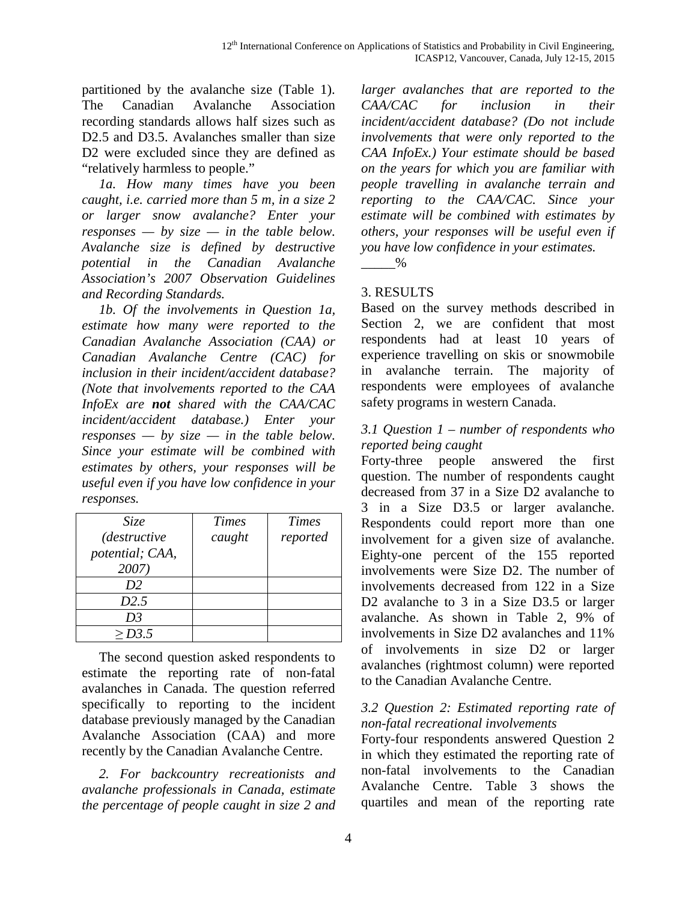partitioned by the avalanche size (Table 1). The Canadian Avalanche Association recording standards allows half sizes such as D2.5 and D3.5. Avalanches smaller than size D2 were excluded since they are defined as "relatively harmless to people."

 *1a. How many times have you been caught, i.e. carried more than 5 m, in a size 2 or larger snow avalanche? Enter your responses — by size — in the table below. Avalanche size is defined by destructive potential in the Canadian Avalanche Association's 2007 Observation Guidelines and Recording Standards.*

 *1b. Of the involvements in Question 1a, estimate how many were reported to the Canadian Avalanche Association (CAA) or Canadian Avalanche Centre (CAC) for inclusion in their incident/accident database? (Note that involvements reported to the CAA InfoEx are not shared with the CAA/CAC incident/accident database.) Enter your responses — by size — in the table below. Since your estimate will be combined with estimates by others, your responses will be useful even if you have low confidence in your responses.*

| Size                | <b>Times</b> | <b>Times</b> |
|---------------------|--------------|--------------|
| <i>(destructive</i> | caught       | reported     |
| potential; CAA,     |              |              |
| 2007)               |              |              |
| D2                  |              |              |
| D2.5                |              |              |
| D <sub>3</sub>      |              |              |
| > D3.5              |              |              |

 The second question asked respondents to estimate the reporting rate of non-fatal avalanches in Canada. The question referred specifically to reporting to the incident database previously managed by the Canadian Avalanche Association (CAA) and more recently by the Canadian Avalanche Centre.

 *2. For backcountry recreationists and avalanche professionals in Canada, estimate the percentage of people caught in size 2 and* 

*larger avalanches that are reported to the CAA/CAC for inclusion in their incident/accident database? (Do not include involvements that were only reported to the CAA InfoEx.) Your estimate should be based on the years for which you are familiar with people travelling in avalanche terrain and reporting to the CAA/CAC. Since your estimate will be combined with estimates by others, your responses will be useful even if you have low confidence in your estimates.*

 $\%$ 

# 3. RESULTS

Based on the survey methods described in Section 2, we are confident that most respondents had at least 10 years of experience travelling on skis or snowmobile in avalanche terrain. The majority of respondents were employees of avalanche safety programs in western Canada.

## *3.1 Question 1 – number of respondents who reported being caught*

Forty-three people answered the first question. The number of respondents caught decreased from 37 in a Size D2 avalanche to 3 in a Size D3.5 or larger avalanche. Respondents could report more than one involvement for a given size of avalanche. Eighty-one percent of the 155 reported involvements were Size D2. The number of involvements decreased from 122 in a Size D<sub>2</sub> avalanche to 3 in a Size D<sub>3.5</sub> or larger avalanche. As shown in Table 2, 9% of involvements in Size D2 avalanches and 11% of involvements in size D2 or larger avalanches (rightmost column) were reported to the Canadian Avalanche Centre.

## *3.2 Question 2: Estimated reporting rate of non-fatal recreational involvements*

Forty-four respondents answered Question 2 in which they estimated the reporting rate of non-fatal involvements to the Canadian Avalanche Centre. Table 3 shows the quartiles and mean of the reporting rate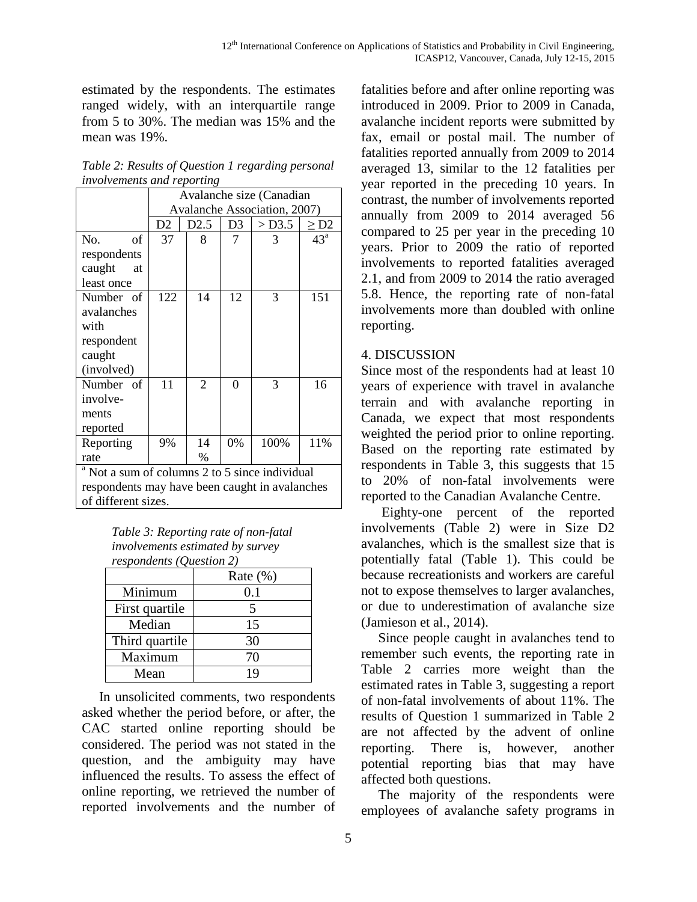estimated by the respondents. The estimates ranged widely, with an interquartile range from 5 to 30%. The median was 15% and the mean was 19%.

| Table 2: Results of Question 1 regarding personal |
|---------------------------------------------------|
| <i>involvements and reporting</i>                 |

|                                                           | Avalanche size (Canadian     |                |    |          |              |
|-----------------------------------------------------------|------------------------------|----------------|----|----------|--------------|
|                                                           | Avalanche Association, 2007) |                |    |          |              |
|                                                           | D <sub>2</sub>               | D2.5           | D3 | $>$ D3.5 | $\geq$ D2    |
| No.<br>of                                                 | 37                           | 8              | 7  | 3        | $43^{\circ}$ |
| respondents                                               |                              |                |    |          |              |
| caught<br>at                                              |                              |                |    |          |              |
| least once                                                |                              |                |    |          |              |
| Number of                                                 | 122                          | 14             | 12 | 3        | 151          |
| avalanches                                                |                              |                |    |          |              |
| with                                                      |                              |                |    |          |              |
| respondent                                                |                              |                |    |          |              |
| caught                                                    |                              |                |    |          |              |
| (involved)                                                |                              |                |    |          |              |
| Number of                                                 | 11                           | $\overline{2}$ | 0  | 3        | 16           |
| involve-                                                  |                              |                |    |          |              |
| ments                                                     |                              |                |    |          |              |
| reported                                                  |                              |                |    |          |              |
| Reporting                                                 | 9%                           | 14             | 0% | 100%     | 11%          |
| rate                                                      |                              | $\%$           |    |          |              |
| <sup>a</sup> Not a sum of columns 2 to 5 since individual |                              |                |    |          |              |
| respondents may have been caught in avalanches            |                              |                |    |          |              |
| of different sizes.                                       |                              |                |    |          |              |

*Table 3: Reporting rate of non-fatal involvements estimated by survey respondents (Question 2)*

|                | Rate $(\% )$ |
|----------------|--------------|
| Minimum        | 0.1          |
| First quartile |              |
| Median         | 15           |
| Third quartile | 30           |
| Maximum        | 70           |
| Mean           | ١q           |

 In unsolicited comments, two respondents asked whether the period before, or after, the CAC started online reporting should be considered. The period was not stated in the question, and the ambiguity may have influenced the results. To assess the effect of online reporting, we retrieved the number of reported involvements and the number of fatalities before and after online reporting was introduced in 2009. Prior to 2009 in Canada, avalanche incident reports were submitted by fax, email or postal mail. The number of fatalities reported annually from 2009 to 2014 averaged 13, similar to the 12 fatalities per year reported in the preceding 10 years. In contrast, the number of involvements reported annually from 2009 to 2014 averaged 56 compared to 25 per year in the preceding 10 years. Prior to 2009 the ratio of reported involvements to reported fatalities averaged 2.1, and from 2009 to 2014 the ratio averaged 5.8. Hence, the reporting rate of non-fatal involvements more than doubled with online reporting.

## 4. DISCUSSION

Since most of the respondents had at least 10 years of experience with travel in avalanche terrain and with avalanche reporting in Canada, we expect that most respondents weighted the period prior to online reporting. Based on the reporting rate estimated by respondents in Table 3, this suggests that 15 to 20% of non-fatal involvements were reported to the Canadian Avalanche Centre.

 Eighty-one percent of the reported involvements (Table 2) were in Size D2 avalanches, which is the smallest size that is potentially fatal (Table 1). This could be because recreationists and workers are careful not to expose themselves to larger avalanches, or due to underestimation of avalanche size (Jamieson et al., 2014).

 Since people caught in avalanches tend to remember such events, the reporting rate in Table 2 carries more weight than the estimated rates in Table 3, suggesting a report of non-fatal involvements of about 11%. The results of Question 1 summarized in Table 2 are not affected by the advent of online reporting. There is, however, another potential reporting bias that may have affected both questions.

 The majority of the respondents were employees of avalanche safety programs in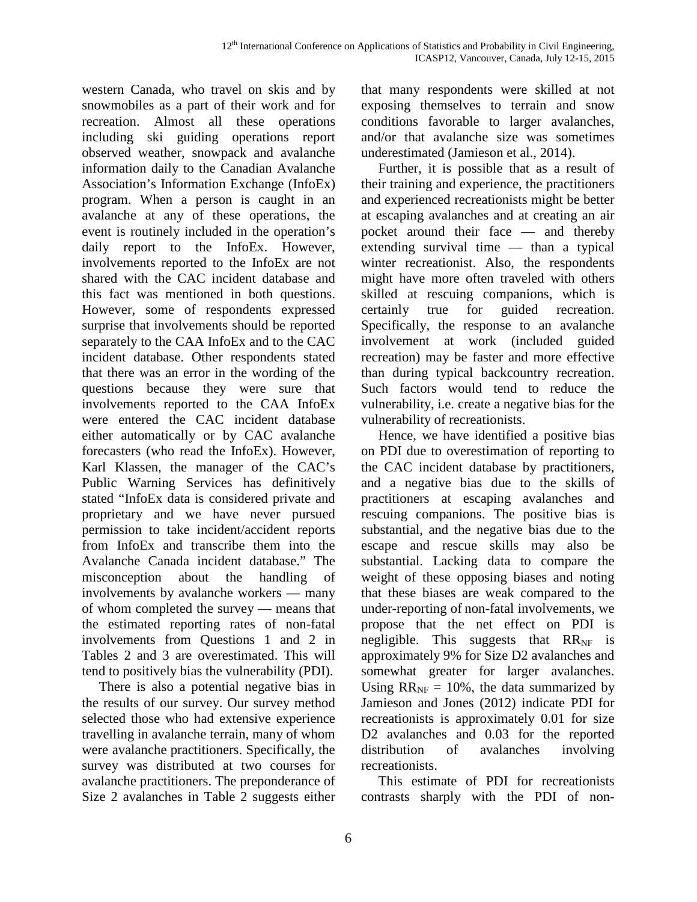western Canada, who travel on skis and by snowmobiles as a part of their work and for recreation. Almost all these operations including ski guiding operations report observed weather, snowpack and avalanche information daily to the Canadian Avalanche Association's Information Exchange (InfoEx) program. When a person is caught in an avalanche at any of these operations, the event is routinely included in the operation's daily report to the InfoEx. However, involvements reported to the InfoEx are not shared with the CAC incident database and this fact was mentioned in both questions. However, some of respondents expressed surprise that involvements should be reported separately to the CAA InfoEx and to the CAC incident database. Other respondents stated that there was an error in the wording of the questions because they were sure that involvements reported to the CAA InfoEx were entered the CAC incident database either automatically or by CAC avalanche forecasters (who read the InfoEx). However, Karl Klassen, the manager of the CAC's Public Warning Services has definitively stated "InfoEx data is considered private and proprietary and we have never pursued permission to take incident/accident reports from InfoEx and transcribe them into the Avalanche Canada incident database." The misconception about the handling of involvements by avalanche workers — many of whom completed the survey — means that the estimated reporting rates of non-fatal involvements from Questions 1 and 2 in Tables 2 and 3 are overestimated. This will tend to positively bias the vulnerability (PDI).

 There is also a potential negative bias in the results of our survey. Our survey method selected those who had extensive experience travelling in avalanche terrain, many of whom were avalanche practitioners. Specifically, the survey was distributed at two courses for avalanche practitioners. The preponderance of Size 2 avalanches in Table 2 suggests either

that many respondents were skilled at not exposing themselves to terrain and snow conditions favorable to larger avalanches, and/or that avalanche size was sometimes underestimated (Jamieson et al., 2014).

 Further, it is possible that as a result of their training and experience, the practitioners and experienced recreationists might be better at escaping avalanches and at creating an air pocket around their face — and thereby extending survival time  $-$  than a typical winter recreationist. Also, the respondents might have more often traveled with others skilled at rescuing companions, which is certainly true for guided recreation. Specifically, the response to an avalanche involvement at work (included guided recreation) may be faster and more effective than during typical backcountry recreation. Such factors would tend to reduce the vulnerability, i.e. create a negative bias for the vulnerability of recreationists.

 Hence, we have identified a positive bias on PDI due to overestimation of reporting to the CAC incident database by practitioners, and a negative bias due to the skills of practitioners at escaping avalanches and rescuing companions. The positive bias is substantial, and the negative bias due to the escape and rescue skills may also be substantial. Lacking data to compare the weight of these opposing biases and noting that these biases are weak compared to the under-reporting of non-fatal involvements, we propose that the net effect on PDI is negligible. This suggests that  $RR_{NF}$  is approximately 9% for Size D2 avalanches and somewhat greater for larger avalanches. Using  $RR_{NF} = 10\%$ , the data summarized by Jamieson and Jones (2012) indicate PDI for recreationists is approximately 0.01 for size D2 avalanches and 0.03 for the reported distribution of avalanches involving recreationists.

 This estimate of PDI for recreationists contrasts sharply with the PDI of non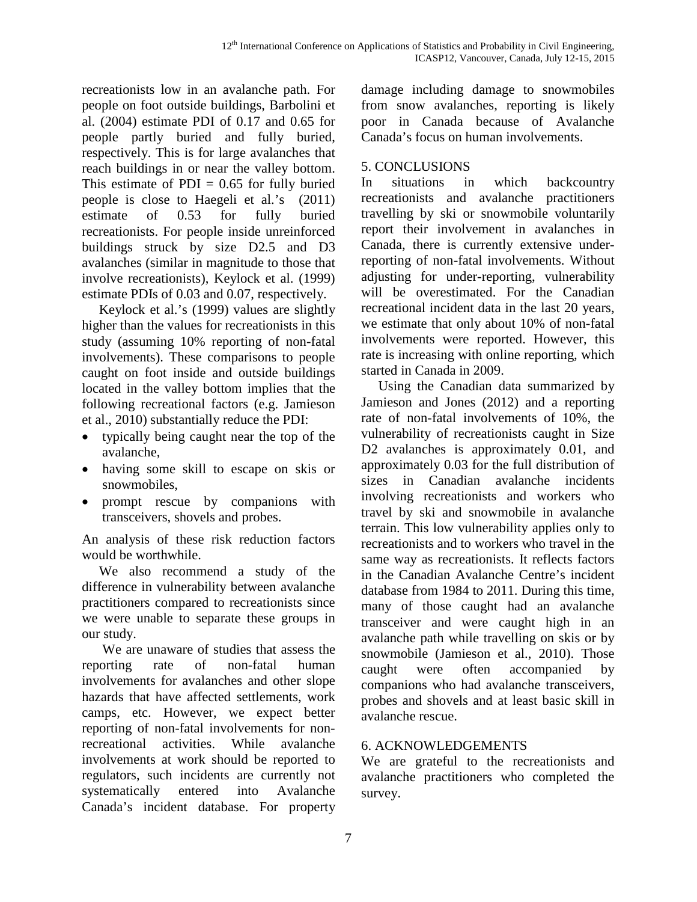recreationists low in an avalanche path. For people on foot outside buildings, Barbolini et al. (2004) estimate PDI of 0.17 and 0.65 for people partly buried and fully buried, respectively. This is for large avalanches that reach buildings in or near the valley bottom. This estimate of  $PDI = 0.65$  for fully buried people is close to Haegeli et al.'s (2011) estimate of 0.53 for fully buried recreationists. For people inside unreinforced buildings struck by size D2.5 and D3 avalanches (similar in magnitude to those that involve recreationists), Keylock et al. (1999) estimate PDIs of 0.03 and 0.07, respectively.

 Keylock et al.'s (1999) values are slightly higher than the values for recreationists in this study (assuming 10% reporting of non-fatal involvements). These comparisons to people caught on foot inside and outside buildings located in the valley bottom implies that the following recreational factors (e.g. Jamieson et al., 2010) substantially reduce the PDI:

- typically being caught near the top of the avalanche,
- having some skill to escape on skis or snowmobiles,
- prompt rescue by companions with transceivers, shovels and probes.

An analysis of these risk reduction factors would be worthwhile.

 We also recommend a study of the difference in vulnerability between avalanche practitioners compared to recreationists since we were unable to separate these groups in our study.

 We are unaware of studies that assess the reporting rate of non-fatal human involvements for avalanches and other slope hazards that have affected settlements, work camps, etc. However, we expect better reporting of non-fatal involvements for nonrecreational activities. While avalanche involvements at work should be reported to regulators, such incidents are currently not systematically entered into Avalanche Canada's incident database. For property

damage including damage to snowmobiles from snow avalanches, reporting is likely poor in Canada because of Avalanche Canada's focus on human involvements.

## 5. CONCLUSIONS

In situations in which backcountry recreationists and avalanche practitioners travelling by ski or snowmobile voluntarily report their involvement in avalanches in Canada, there is currently extensive underreporting of non-fatal involvements. Without adjusting for under-reporting, vulnerability will be overestimated. For the Canadian recreational incident data in the last 20 years, we estimate that only about 10% of non-fatal involvements were reported. However, this rate is increasing with online reporting, which started in Canada in 2009.

 Using the Canadian data summarized by Jamieson and Jones (2012) and a reporting rate of non-fatal involvements of 10%, the vulnerability of recreationists caught in Size D<sub>2</sub> avalanches is approximately 0.01, and approximately 0.03 for the full distribution of sizes in Canadian avalanche incidents involving recreationists and workers who travel by ski and snowmobile in avalanche terrain. This low vulnerability applies only to recreationists and to workers who travel in the same way as recreationists. It reflects factors in the Canadian Avalanche Centre's incident database from 1984 to 2011. During this time, many of those caught had an avalanche transceiver and were caught high in an avalanche path while travelling on skis or by snowmobile (Jamieson et al., 2010). Those caught were often accompanied by companions who had avalanche transceivers, probes and shovels and at least basic skill in avalanche rescue.

## 6. ACKNOWLEDGEMENTS

We are grateful to the recreationists and avalanche practitioners who completed the survey.